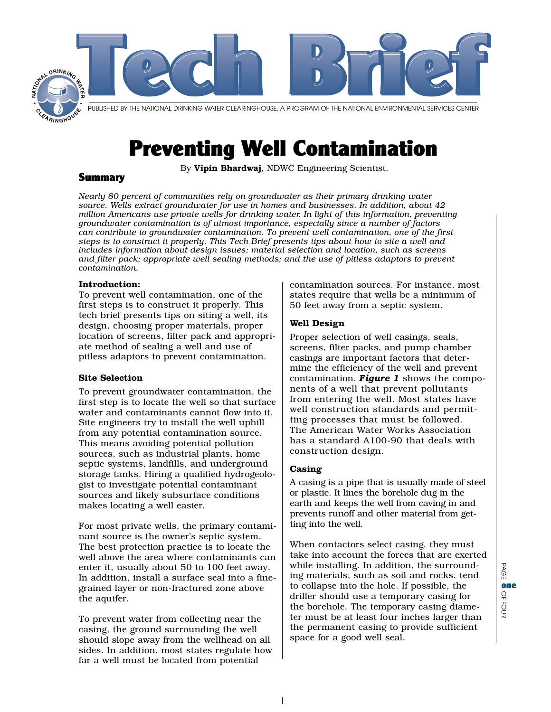

# Preventing Well Contamination

By Vipin Bhardwaj, NDWC Engineering Scientist,

## Summary

*Nearly 80 percent of communities rely on groundwater as their primary drinking water source. Wells extract groundwater for use in homes and businesses. In addition, about 42 million Americans use private wells for drinking water. In light of this information, preventing groundwater contamination is of utmost importance, especially since a number of factors can contribute to groundwater contamination. To prevent well contamination, one of the first steps is to construct it properly. This Tech Brief presents tips about how to site a well and includes information about design issues; material selection and location, such as screens and filter pack; appropriate well sealing methods; and the use of pitless adaptors to prevent contamination.*

## **Introduction:**

To prevent well contamination, one of the first steps is to construct it properly. This tech brief presents tips on siting a well, its design, choosing proper materials, proper location of screens, filter pack and appropriate method of sealing a well and use of pitless adaptors to prevent contamination.

#### **Site Selection**

To prevent groundwater contamination, the first step is to locate the well so that surface water and contaminants cannot flow into it. Site engineers try to install the well uphill from any potential contamination source. This means avoiding potential pollution sources, such as industrial plants, home septic systems, landfills, and underground storage tanks. Hiring a qualified hydrogeologist to investigate potential contaminant sources and likely subsurface conditions makes locating a well easier.

For most private wells, the primary contaminant source is the owner's septic system. The best protection practice is to locate the well above the area where contaminants can enter it, usually about 50 to 100 feet away. In addition, install a surface seal into a finegrained layer or non-fractured zone above the aquifer.

To prevent water from collecting near the casing, the ground surrounding the well should slope away from the wellhead on all sides. In addition, most states regulate how far a well must be located from potential

contamination sources. For instance, most states require that wells be a minimum of 50 feet away from a septic system.

## **Well Design**

Proper selection of well casings, seals, screens, filter packs, and pump chamber casings are important factors that determine the efficiency of the well and prevent contamination. *Figure 1* shows the components of a well that prevent pollutants from entering the well. Most states have well construction standards and permitting processes that must be followed. The American Water Works Association has a standard A100-90 that deals with construction design.

#### **Casing**

A casing is a pipe that is usually made of steel or plastic. It lines the borehole dug in the earth and keeps the well from caving in and prevents runoff and other material from getting into the well.

When contactors select casing, they must take into account the forces that are exerted while installing. In addition, the surrounding materials, such as soil and rocks, tend to collapse into the hole. If possible, the driller should use a temporary casing for the borehole. The temporary casing diameter must be at least four inches larger than the permanent casing to provide sufficient space for a good well seal.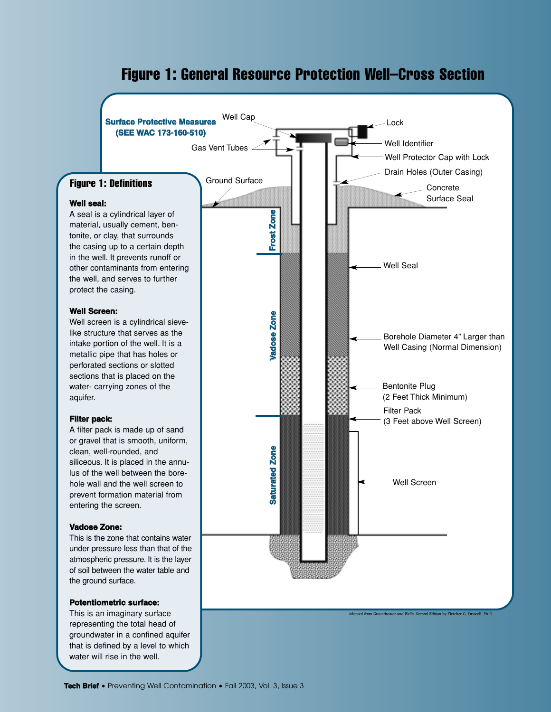# **Figure 1: General Resource Protection Well–Cross Section**

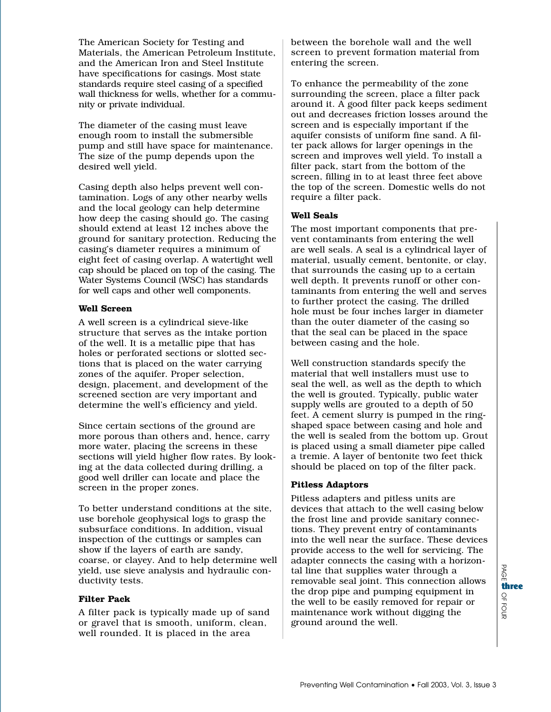The American Society for Testing and Materials, the American Petroleum Institute, and the American Iron and Steel Institute have specifications for casings. Most state standards require steel casing of a specified wall thickness for wells, whether for a community or private individual.

The diameter of the casing must leave enough room to install the submersible pump and still have space for maintenance. The size of the pump depends upon the desired well yield.

Casing depth also helps prevent well contamination. Logs of any other nearby wells and the local geology can help determine how deep the casing should go. The casing should extend at least 12 inches above the ground for sanitary protection. Reducing the casing's diameter requires a minimum of eight feet of casing overlap. A watertight well cap should be placed on top of the casing. The Water Systems Council (WSC) has standards for well caps and other well components.

#### **Well Screen**

A well screen is a cylindrical sieve-like structure that serves as the intake portion of the well. It is a metallic pipe that has holes or perforated sections or slotted sections that is placed on the water carrying zones of the aquifer. Proper selection, design, placement, and development of the screened section are very important and determine the well's efficiency and yield.

Since certain sections of the ground are more porous than others and, hence, carry more water, placing the screens in these sections will yield higher flow rates. By looking at the data collected during drilling, a good well driller can locate and place the screen in the proper zones.

To better understand conditions at the site, use borehole geophysical logs to grasp the subsurface conditions. In addition, visual inspection of the cuttings or samples can show if the layers of earth are sandy, coarse, or clayey. And to help determine well yield, use sieve analysis and hydraulic conductivity tests.

# **Filter Pack**

A filter pack is typically made up of sand or gravel that is smooth, uniform, clean, well rounded. It is placed in the area

between the borehole wall and the well screen to prevent formation material from entering the screen.

To enhance the permeability of the zone surrounding the screen, place a filter pack around it. A good filter pack keeps sediment out and decreases friction losses around the screen and is especially important if the aquifer consists of uniform fine sand. A filter pack allows for larger openings in the screen and improves well yield. To install a filter pack, start from the bottom of the screen, filling in to at least three feet above the top of the screen. Domestic wells do not require a filter pack.

## **Well Seals**

The most important components that prevent contaminants from entering the well are well seals. A seal is a cylindrical layer of material, usually cement, bentonite, or clay, that surrounds the casing up to a certain well depth. It prevents runoff or other contaminants from entering the well and serves to further protect the casing. The drilled hole must be four inches larger in diameter than the outer diameter of the casing so that the seal can be placed in the space between casing and the hole.

Well construction standards specify the material that well installers must use to seal the well, as well as the depth to which the well is grouted. Typically, public water supply wells are grouted to a depth of 50 feet. A cement slurry is pumped in the ringshaped space between casing and hole and the well is sealed from the bottom up. Grout is placed using a small diameter pipe called a tremie. A layer of bentonite two feet thick should be placed on top of the filter pack.

# **Pitless Adaptors**

Pitless adapters and pitless units are devices that attach to the well casing below the frost line and provide sanitary connections. They prevent entry of contaminants into the well near the surface. These devices provide access to the well for servicing. The adapter connects the casing with a horizontal line that supplies water through a removable seal joint. This connection allows the drop pipe and pumping equipment in the well to be easily removed for repair or maintenance work without digging the ground around the well.

 $\Omega$ OF three<br>으<br>이 고

B